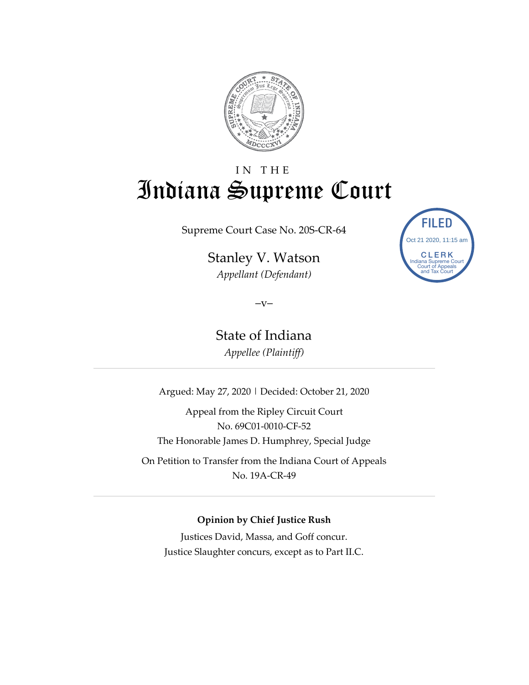

# IN THE Indiana Supreme Court

Supreme Court Case No. 20S-CR-64

Stanley V. Watson *Appellant (Defendant)*



 $-V-$ 

State of Indiana *Appellee (Plaintiff)*

Argued: May 27, 2020 | Decided: October 21, 2020

Appeal from the Ripley Circuit Court No. 69C01-0010-CF-52 The Honorable James D. Humphrey, Special Judge On Petition to Transfer from the Indiana Court of Appeals No. 19A-CR-49

#### **Opinion by Chief Justice Rush**

Justices David, Massa, and Goff concur. Justice Slaughter concurs, except as to Part II.C.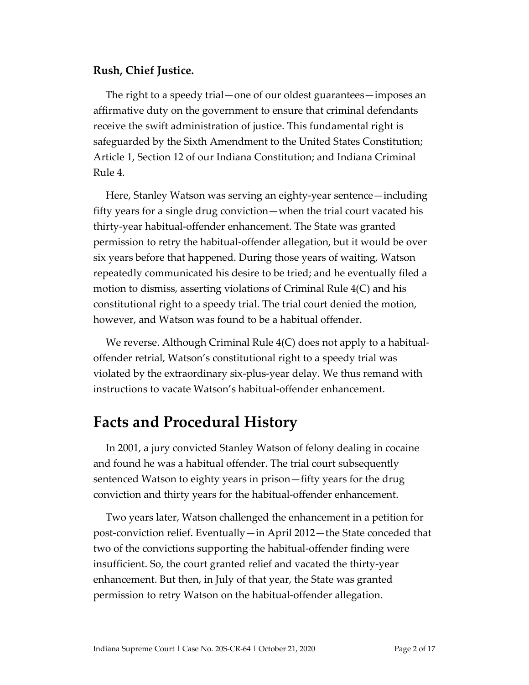#### **Rush, Chief Justice.**

The right to a speedy trial—one of our oldest guarantees—imposes an affirmative duty on the government to ensure that criminal defendants receive the swift administration of justice. This fundamental right is safeguarded by the Sixth Amendment to the United States Constitution; Article 1, Section 12 of our Indiana Constitution; and Indiana Criminal Rule 4.

Here, Stanley Watson was serving an eighty-year sentence—including fifty years for a single drug conviction—when the trial court vacated his thirty-year habitual-offender enhancement. The State was granted permission to retry the habitual-offender allegation, but it would be over six years before that happened. During those years of waiting, Watson repeatedly communicated his desire to be tried; and he eventually filed a motion to dismiss, asserting violations of Criminal Rule 4(C) and his constitutional right to a speedy trial. The trial court denied the motion, however, and Watson was found to be a habitual offender.

We reverse. Although Criminal Rule 4(C) does not apply to a habitualoffender retrial, Watson's constitutional right to a speedy trial was violated by the extraordinary six-plus-year delay. We thus remand with instructions to vacate Watson's habitual-offender enhancement.

## **Facts and Procedural History**

In 2001, a jury convicted Stanley Watson of felony dealing in cocaine and found he was a habitual offender. The trial court subsequently sentenced Watson to eighty years in prison—fifty years for the drug conviction and thirty years for the habitual-offender enhancement.

Two years later, Watson challenged the enhancement in a petition for post-conviction relief. Eventually—in April 2012—the State conceded that two of the convictions supporting the habitual-offender finding were insufficient. So, the court granted relief and vacated the thirty-year enhancement. But then, in July of that year, the State was granted permission to retry Watson on the habitual-offender allegation.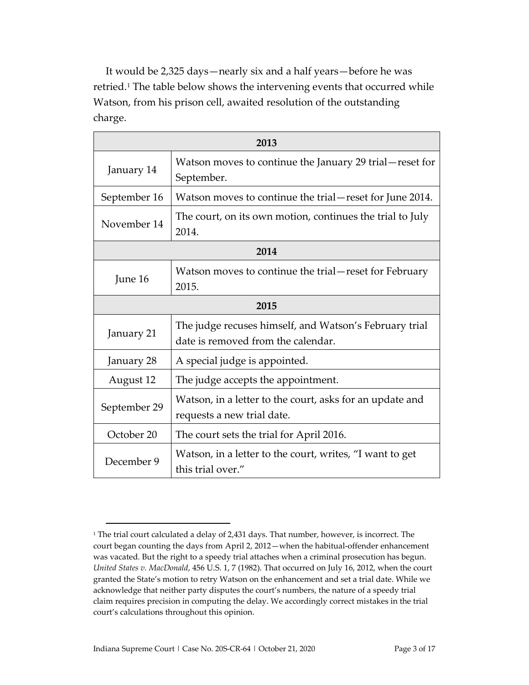It would be 2,325 days—nearly six and a half years—before he was retried.[1](#page-2-0) The table below shows the intervening events that occurred while Watson, from his prison cell, awaited resolution of the outstanding charge.

| 2013         |                                                                                              |  |
|--------------|----------------------------------------------------------------------------------------------|--|
| January 14   | Watson moves to continue the January 29 trial—reset for<br>September.                        |  |
| September 16 | Watson moves to continue the trial—reset for June 2014.                                      |  |
| November 14  | The court, on its own motion, continues the trial to July<br>2014.                           |  |
| 2014         |                                                                                              |  |
| June 16      | Watson moves to continue the trial-reset for February<br>2015.                               |  |
| 2015         |                                                                                              |  |
| January 21   | The judge recuses himself, and Watson's February trial<br>date is removed from the calendar. |  |
| January 28   | A special judge is appointed.                                                                |  |
| August 12    | The judge accepts the appointment.                                                           |  |
| September 29 | Watson, in a letter to the court, asks for an update and<br>requests a new trial date.       |  |
| October 20   | The court sets the trial for April 2016.                                                     |  |
| December 9   | Watson, in a letter to the court, writes, "I want to get<br>this trial over."                |  |

<span id="page-2-0"></span><sup>&</sup>lt;sup>1</sup> The trial court calculated a delay of 2,431 days. That number, however, is incorrect. The court began counting the days from April 2, 2012—when the habitual-offender enhancement was vacated. But the right to a speedy trial attaches when a criminal prosecution has begun. *United States v. MacDonald*, 456 U.S. 1, 7 (1982). That occurred on July 16, 2012, when the court granted the State's motion to retry Watson on the enhancement and set a trial date. While we acknowledge that neither party disputes the court's numbers, the nature of a speedy trial claim requires precision in computing the delay. We accordingly correct mistakes in the trial court's calculations throughout this opinion.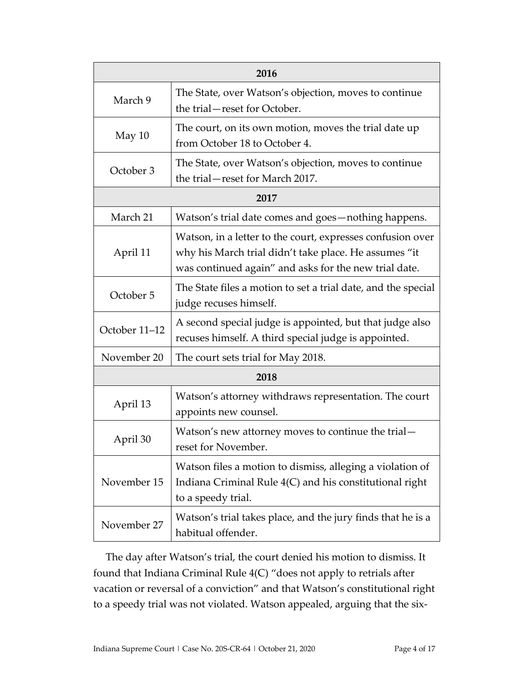| 2016          |                                                                                                                                                                              |  |
|---------------|------------------------------------------------------------------------------------------------------------------------------------------------------------------------------|--|
| March 9       | The State, over Watson's objection, moves to continue<br>the trial-reset for October.                                                                                        |  |
| May 10        | The court, on its own motion, moves the trial date up<br>from October 18 to October 4.                                                                                       |  |
| October 3     | The State, over Watson's objection, moves to continue<br>the trial-reset for March 2017.                                                                                     |  |
| 2017          |                                                                                                                                                                              |  |
| March 21      | Watson's trial date comes and goes-nothing happens.                                                                                                                          |  |
| April 11      | Watson, in a letter to the court, expresses confusion over<br>why his March trial didn't take place. He assumes "it<br>was continued again" and asks for the new trial date. |  |
| October 5     | The State files a motion to set a trial date, and the special<br>judge recuses himself.                                                                                      |  |
| October 11-12 | A second special judge is appointed, but that judge also<br>recuses himself. A third special judge is appointed.                                                             |  |
| November 20   | The court sets trial for May 2018.                                                                                                                                           |  |
| 2018          |                                                                                                                                                                              |  |
| April 13      | Watson's attorney withdraws representation. The court<br>appoints new counsel.                                                                                               |  |
| April 30      | Watson's new attorney moves to continue the trial-<br>reset for November.                                                                                                    |  |
| November 15   | Watson files a motion to dismiss, alleging a violation of<br>Indiana Criminal Rule 4(C) and his constitutional right<br>to a speedy trial.                                   |  |
| November 27   | Watson's trial takes place, and the jury finds that he is a<br>habitual offender.                                                                                            |  |

The day after Watson's trial, the court denied his motion to dismiss. It found that Indiana Criminal Rule 4(C) "does not apply to retrials after vacation or reversal of a conviction" and that Watson's constitutional right to a speedy trial was not violated. Watson appealed, arguing that the six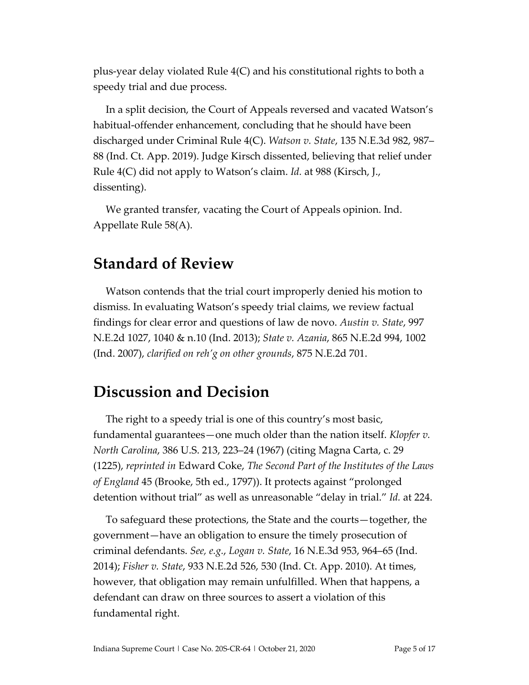plus-year delay violated Rule 4(C) and his constitutional rights to both a speedy trial and due process.

In a split decision, the Court of Appeals reversed and vacated Watson's habitual-offender enhancement, concluding that he should have been discharged under Criminal Rule 4(C). *Watson v. State*, 135 N.E.3d 982, 987– 88 (Ind. Ct. App. 2019). Judge Kirsch dissented, believing that relief under Rule 4(C) did not apply to Watson's claim. *Id.* at 988 (Kirsch, J., dissenting).

We granted transfer, vacating the Court of Appeals opinion. Ind. Appellate Rule 58(A).

## **Standard of Review**

Watson contends that the trial court improperly denied his motion to dismiss. In evaluating Watson's speedy trial claims, we review factual findings for clear error and questions of law de novo. *Austin v. State*, 997 N.E.2d 1027, 1040 & n.10 (Ind. 2013); *State v. Azania*, 865 N.E.2d 994, 1002 (Ind. 2007), *clarified on reh'g on other grounds*, 875 N.E.2d 701.

## **Discussion and Decision**

The right to a speedy trial is one of this country's most basic, fundamental guarantees—one much older than the nation itself. *Klopfer v. North Carolina*, 386 U.S. 213, 223–24 (1967) (citing Magna Carta, c. 29 (1225), *reprinted in* Edward Coke, *The Second Part of the Institutes of the Laws of England* 45 (Brooke, 5th ed., 1797)). It protects against "prolonged detention without trial" as well as unreasonable "delay in trial." *Id.* at 224.

To safeguard these protections, the State and the courts—together, the government—have an obligation to ensure the timely prosecution of criminal defendants. *See, e.g.*, *Logan v. State*, 16 N.E.3d 953, 964–65 (Ind. 2014); *Fisher v. State*, 933 N.E.2d 526, 530 (Ind. Ct. App. 2010). At times, however, that obligation may remain unfulfilled. When that happens, a defendant can draw on three sources to assert a violation of this fundamental right.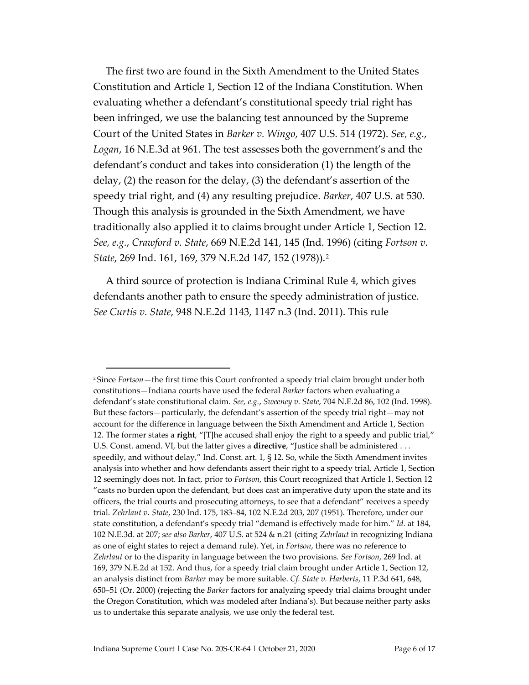The first two are found in the Sixth Amendment to the United States Constitution and Article 1, Section 12 of the Indiana Constitution. When evaluating whether a defendant's constitutional speedy trial right has been infringed, we use the balancing test announced by the Supreme Court of the United States in *Barker v. Wingo*, 407 U.S. 514 (1972). *See, e.g.*, *Logan*, 16 N.E.3d at 961. The test assesses both the government's and the defendant's conduct and takes into consideration (1) the length of the delay, (2) the reason for the delay, (3) the defendant's assertion of the speedy trial right, and (4) any resulting prejudice. *Barker*, 407 U.S. at 530. Though this analysis is grounded in the Sixth Amendment, we have traditionally also applied it to claims brought under Article 1, Section 12. *See, e.g.*, *Crawford v. State*, 669 N.E.2d 141, 145 (Ind. 1996) (citing *Fortson v. State*, 269 Ind. 161, 169, 379 N.E.2d 147, 152 (1978)).[2](#page-5-0)

A third source of protection is Indiana Criminal Rule 4, which gives defendants another path to ensure the speedy administration of justice. *See Curtis v. State*, 948 N.E.2d 1143, 1147 n.3 (Ind. 2011). This rule

<span id="page-5-0"></span><sup>2</sup> Since *Fortson*—the first time this Court confronted a speedy trial claim brought under both constitutions—Indiana courts have used the federal *Barker* factors when evaluating a defendant's state constitutional claim. *See, e.g.*, *Sweeney v. State*, 704 N.E.2d 86, 102 (Ind. 1998). But these factors—particularly, the defendant's assertion of the speedy trial right—may not account for the difference in language between the Sixth Amendment and Article 1, Section 12. The former states a **right**, "[T]he accused shall enjoy the right to a speedy and public trial," U.S. Const. amend. VI, but the latter gives a **directive**, "Justice shall be administered . . . speedily, and without delay," Ind. Const. art. 1, § 12. So, while the Sixth Amendment invites analysis into whether and how defendants assert their right to a speedy trial, Article 1, Section 12 seemingly does not. In fact, prior to *Fortson*, this Court recognized that Article 1, Section 12 "casts no burden upon the defendant, but does cast an imperative duty upon the state and its officers, the trial courts and prosecuting attorneys, to see that a defendant" receives a speedy trial. *Zehrlaut v. State*, 230 Ind. 175, 183–84, 102 N.E.2d 203, 207 (1951). Therefore, under our state constitution, a defendant's speedy trial "demand is effectively made for him." *Id.* at 184, 102 N.E.3d. at 207; *see also Barker*, 407 U.S. at 524 & n.21 (citing *Zehrlaut* in recognizing Indiana as one of eight states to reject a demand rule). Yet, in *Fortson*, there was no reference to *Zehrlaut* or to the disparity in language between the two provisions. *See Fortson*, 269 Ind. at 169, 379 N.E.2d at 152. And thus, for a speedy trial claim brought under Article 1, Section 12, an analysis distinct from *Barker* may be more suitable. *Cf. State v. Harberts*, 11 P.3d 641, 648, 650–51 (Or. 2000) (rejecting the *Barker* factors for analyzing speedy trial claims brought under the Oregon Constitution, which was modeled after Indiana's). But because neither party asks us to undertake this separate analysis, we use only the federal test.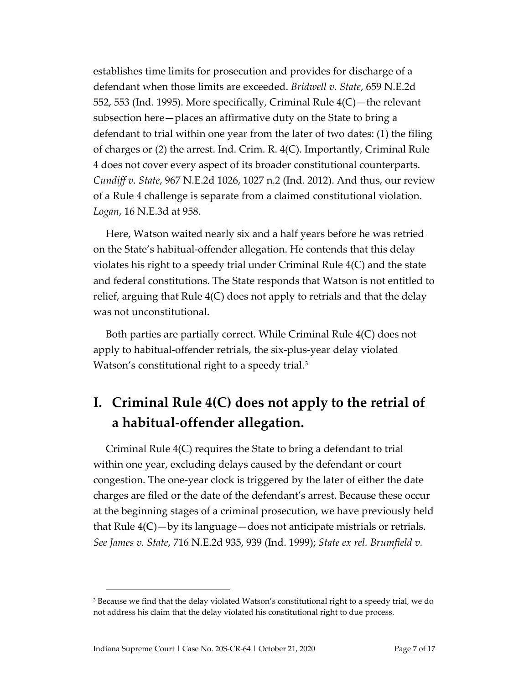establishes time limits for prosecution and provides for discharge of a defendant when those limits are exceeded. *Bridwell v. State*, 659 N.E.2d 552, 553 (Ind. 1995). More specifically, Criminal Rule 4(C)—the relevant subsection here—places an affirmative duty on the State to bring a defendant to trial within one year from the later of two dates: (1) the filing of charges or (2) the arrest. Ind. Crim. R. 4(C). Importantly, Criminal Rule 4 does not cover every aspect of its broader constitutional counterparts. *Cundiff v. State*, 967 N.E.2d 1026, 1027 n.2 (Ind. 2012). And thus, our review of a Rule 4 challenge is separate from a claimed constitutional violation. *Logan*, 16 N.E.3d at 958.

Here, Watson waited nearly six and a half years before he was retried on the State's habitual-offender allegation. He contends that this delay violates his right to a speedy trial under Criminal Rule 4(C) and the state and federal constitutions. The State responds that Watson is not entitled to relief, arguing that Rule 4(C) does not apply to retrials and that the delay was not unconstitutional.

Both parties are partially correct. While Criminal Rule 4(C) does not apply to habitual-offender retrials, the six-plus-year delay violated Watson's constitutional right to a speedy trial.<sup>[3](#page-6-0)</sup>

## **I. Criminal Rule 4(C) does not apply to the retrial of a habitual-offender allegation.**

Criminal Rule 4(C) requires the State to bring a defendant to trial within one year, excluding delays caused by the defendant or court congestion. The one-year clock is triggered by the later of either the date charges are filed or the date of the defendant's arrest. Because these occur at the beginning stages of a criminal prosecution, we have previously held that Rule 4(C)—by its language—does not anticipate mistrials or retrials. *See James v. State*, 716 N.E.2d 935, 939 (Ind. 1999); *State ex rel. Brumfield v.* 

<span id="page-6-0"></span><sup>&</sup>lt;sup>3</sup> Because we find that the delay violated Watson's constitutional right to a speedy trial, we do not address his claim that the delay violated his constitutional right to due process.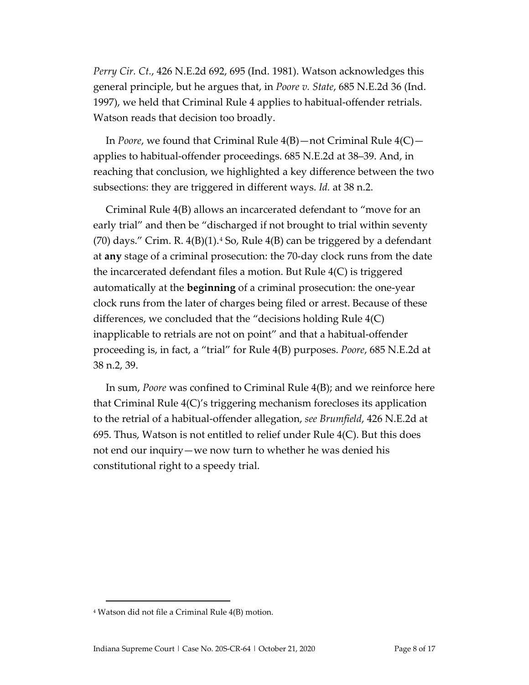*Perry Cir. Ct.*, 426 N.E.2d 692, 695 (Ind. 1981). Watson acknowledges this general principle, but he argues that, in *Poore v. State*, 685 N.E.2d 36 (Ind. 1997), we held that Criminal Rule 4 applies to habitual-offender retrials. Watson reads that decision too broadly.

In *Poore*, we found that Criminal Rule 4(B)—not Criminal Rule 4(C) applies to habitual-offender proceedings. 685 N.E.2d at 38–39. And, in reaching that conclusion, we highlighted a key difference between the two subsections: they are triggered in different ways. *Id.* at 38 n.2.

Criminal Rule 4(B) allows an incarcerated defendant to "move for an early trial" and then be "discharged if not brought to trial within seventy  $(70)$  days." Crim. R.  $4(B)(1)$  $4(B)(1)$ .<sup>4</sup> So, Rule  $4(B)$  can be triggered by a defendant at **any** stage of a criminal prosecution: the 70-day clock runs from the date the incarcerated defendant files a motion. But Rule 4(C) is triggered automatically at the **beginning** of a criminal prosecution: the one-year clock runs from the later of charges being filed or arrest. Because of these differences, we concluded that the "decisions holding Rule 4(C) inapplicable to retrials are not on point" and that a habitual-offender proceeding is, in fact, a "trial" for Rule 4(B) purposes. *Poore*, 685 N.E.2d at 38 n.2, 39.

In sum, *Poore* was confined to Criminal Rule 4(B); and we reinforce here that Criminal Rule 4(C)'s triggering mechanism forecloses its application to the retrial of a habitual-offender allegation, *see Brumfield*, 426 N.E.2d at 695. Thus, Watson is not entitled to relief under Rule 4(C). But this does not end our inquiry—we now turn to whether he was denied his constitutional right to a speedy trial.

<span id="page-7-0"></span><sup>4</sup> Watson did not file a Criminal Rule 4(B) motion.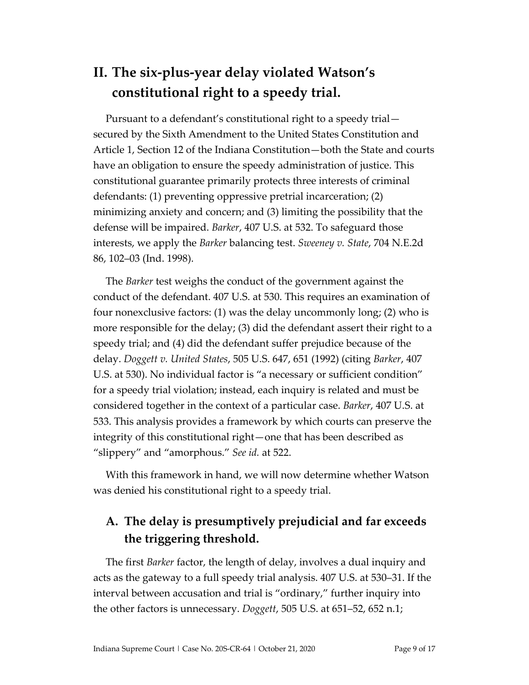## **II. The six-plus-year delay violated Watson's constitutional right to a speedy trial.**

Pursuant to a defendant's constitutional right to a speedy trial secured by the Sixth Amendment to the United States Constitution and Article 1, Section 12 of the Indiana Constitution—both the State and courts have an obligation to ensure the speedy administration of justice. This constitutional guarantee primarily protects three interests of criminal defendants: (1) preventing oppressive pretrial incarceration; (2) minimizing anxiety and concern; and (3) limiting the possibility that the defense will be impaired. *Barker*, 407 U.S. at 532. To safeguard those interests, we apply the *Barker* balancing test. *Sweeney v. State*, 704 N.E.2d 86, 102–03 (Ind. 1998).

The *Barker* test weighs the conduct of the government against the conduct of the defendant. 407 U.S. at 530. This requires an examination of four nonexclusive factors: (1) was the delay uncommonly long; (2) who is more responsible for the delay; (3) did the defendant assert their right to a speedy trial; and (4) did the defendant suffer prejudice because of the delay. *Doggett v. United States*, 505 U.S. 647, 651 (1992) (citing *Barker*, 407 U.S. at 530). No individual factor is "a necessary or sufficient condition" for a speedy trial violation; instead, each inquiry is related and must be considered together in the context of a particular case. *Barker*, 407 U.S. at 533. This analysis provides a framework by which courts can preserve the integrity of this constitutional right—one that has been described as "slippery" and "amorphous." *See id.* at 522.

With this framework in hand, we will now determine whether Watson was denied his constitutional right to a speedy trial.

## **A. The delay is presumptively prejudicial and far exceeds the triggering threshold.**

The first *Barker* factor, the length of delay, involves a dual inquiry and acts as the gateway to a full speedy trial analysis. 407 U.S. at 530–31. If the interval between accusation and trial is "ordinary," further inquiry into the other factors is unnecessary. *Doggett*, 505 U.S. at 651–52, 652 n.1;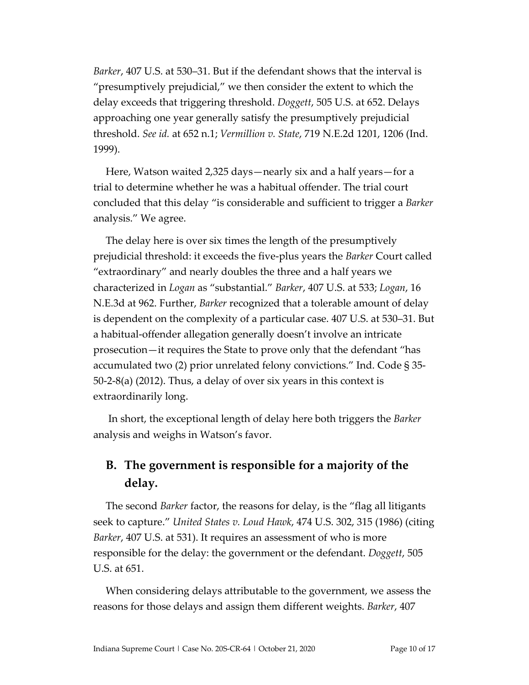*Barker*, 407 U.S. at 530–31. But if the defendant shows that the interval is "presumptively prejudicial," we then consider the extent to which the delay exceeds that triggering threshold. *Doggett*, 505 U.S. at 652. Delays approaching one year generally satisfy the presumptively prejudicial threshold. *See id.* at 652 n.1; *Vermillion v. State*, 719 N.E.2d 1201, 1206 (Ind. 1999).

Here, Watson waited 2,325 days—nearly six and a half years—for a trial to determine whether he was a habitual offender. The trial court concluded that this delay "is considerable and sufficient to trigger a *Barker* analysis." We agree.

The delay here is over six times the length of the presumptively prejudicial threshold: it exceeds the five-plus years the *Barker* Court called "extraordinary" and nearly doubles the three and a half years we characterized in *Logan* as "substantial." *Barker*, 407 U.S. at 533; *Logan*, 16 N.E.3d at 962. Further, *Barker* recognized that a tolerable amount of delay is dependent on the complexity of a particular case. 407 U.S. at 530–31. But a habitual-offender allegation generally doesn't involve an intricate prosecution—it requires the State to prove only that the defendant "has accumulated two (2) prior unrelated felony convictions." Ind. Code § 35- 50-2-8(a) (2012). Thus, a delay of over six years in this context is extraordinarily long.

In short, the exceptional length of delay here both triggers the *Barker* analysis and weighs in Watson's favor.

### **B. The government is responsible for a majority of the delay.**

The second *Barker* factor, the reasons for delay, is the "flag all litigants seek to capture." *United States v. Loud Hawk*, 474 U.S. 302, 315 (1986) (citing *Barker*, 407 U.S. at 531). It requires an assessment of who is more responsible for the delay: the government or the defendant. *Doggett*, 505 U.S. at 651.

When considering delays attributable to the government, we assess the reasons for those delays and assign them different weights. *Barker*, 407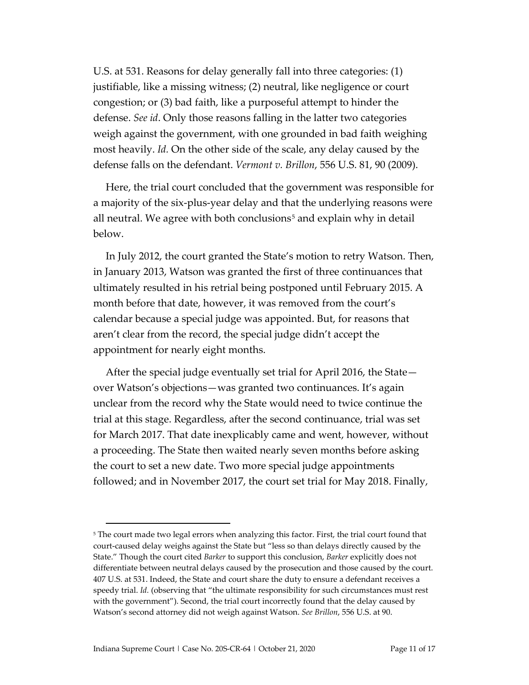U.S. at 531. Reasons for delay generally fall into three categories: (1) justifiable, like a missing witness; (2) neutral, like negligence or court congestion; or (3) bad faith, like a purposeful attempt to hinder the defense. *See id*. Only those reasons falling in the latter two categories weigh against the government, with one grounded in bad faith weighing most heavily. *Id.* On the other side of the scale, any delay caused by the defense falls on the defendant. *Vermont v. Brillon*, 556 U.S. 81, 90 (2009).

Here, the trial court concluded that the government was responsible for a majority of the six-plus-year delay and that the underlying reasons were all neutral. We agree with both conclusions<sup>[5](#page-10-0)</sup> and explain why in detail below.

In July 2012, the court granted the State's motion to retry Watson. Then, in January 2013, Watson was granted the first of three continuances that ultimately resulted in his retrial being postponed until February 2015. A month before that date, however, it was removed from the court's calendar because a special judge was appointed. But, for reasons that aren't clear from the record, the special judge didn't accept the appointment for nearly eight months.

After the special judge eventually set trial for April 2016, the State over Watson's objections—was granted two continuances. It's again unclear from the record why the State would need to twice continue the trial at this stage. Regardless, after the second continuance, trial was set for March 2017. That date inexplicably came and went, however, without a proceeding. The State then waited nearly seven months before asking the court to set a new date. Two more special judge appointments followed; and in November 2017, the court set trial for May 2018. Finally,

<span id="page-10-0"></span><sup>&</sup>lt;sup>5</sup> The court made two legal errors when analyzing this factor. First, the trial court found that court-caused delay weighs against the State but "less so than delays directly caused by the State." Though the court cited *Barker* to support this conclusion, *Barker* explicitly does not differentiate between neutral delays caused by the prosecution and those caused by the court. 407 U.S. at 531. Indeed, the State and court share the duty to ensure a defendant receives a speedy trial. *Id.* (observing that "the ultimate responsibility for such circumstances must rest with the government"). Second, the trial court incorrectly found that the delay caused by Watson's second attorney did not weigh against Watson. *See Brillon*, 556 U.S. at 90.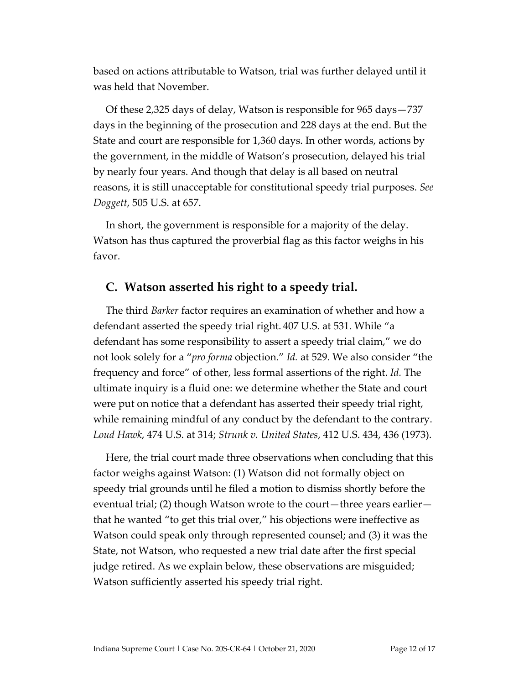based on actions attributable to Watson, trial was further delayed until it was held that November.

Of these 2,325 days of delay, Watson is responsible for 965 days—737 days in the beginning of the prosecution and 228 days at the end. But the State and court are responsible for 1,360 days. In other words, actions by the government, in the middle of Watson's prosecution, delayed his trial by nearly four years. And though that delay is all based on neutral reasons, it is still unacceptable for constitutional speedy trial purposes. *See Doggett*, 505 U.S. at 657.

In short, the government is responsible for a majority of the delay. Watson has thus captured the proverbial flag as this factor weighs in his favor.

#### **C. Watson asserted his right to a speedy trial.**

The third *Barker* factor requires an examination of whether and how a defendant asserted the speedy trial right. 407 U.S. at 531. While "a defendant has some responsibility to assert a speedy trial claim," we do not look solely for a "*pro forma* objection." *Id.* at 529. We also consider "the frequency and force" of other, less formal assertions of the right. *Id.* The ultimate inquiry is a fluid one: we determine whether the State and court were put on notice that a defendant has asserted their speedy trial right, while remaining mindful of any conduct by the defendant to the contrary. *Loud Hawk*, 474 U.S. at 314; *Strunk v. United States*, 412 U.S. 434, 436 (1973).

Here, the trial court made three observations when concluding that this factor weighs against Watson: (1) Watson did not formally object on speedy trial grounds until he filed a motion to dismiss shortly before the eventual trial; (2) though Watson wrote to the court—three years earlier that he wanted "to get this trial over," his objections were ineffective as Watson could speak only through represented counsel; and (3) it was the State, not Watson, who requested a new trial date after the first special judge retired. As we explain below, these observations are misguided; Watson sufficiently asserted his speedy trial right.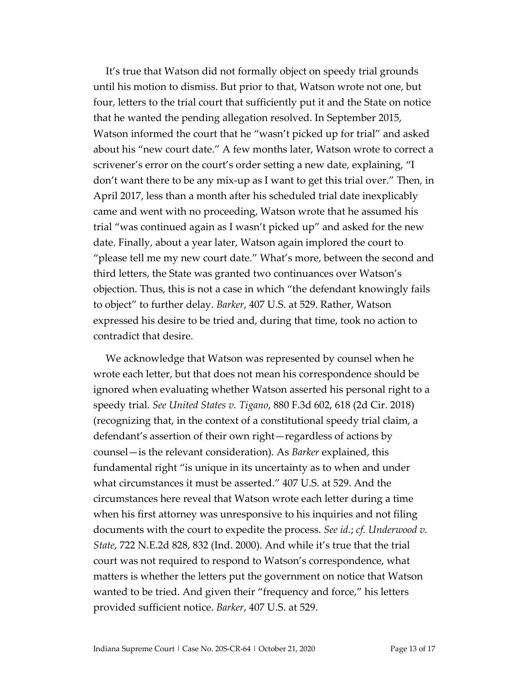It's true that Watson did not formally object on speedy trial grounds until his motion to dismiss. But prior to that, Watson wrote not one, but four, letters to the trial court that sufficiently put it and the State on notice that he wanted the pending allegation resolved. In September 2015, Watson informed the court that he "wasn't picked up for trial" and asked about his "new court date." A few months later, Watson wrote to correct a scrivener's error on the court's order setting a new date, explaining, "I don't want there to be any mix-up as I want to get this trial over." Then, in April 2017, less than a month after his scheduled trial date inexplicably came and went with no proceeding, Watson wrote that he assumed his trial "was continued again as I wasn't picked up" and asked for the new date. Finally, about a year later, Watson again implored the court to "please tell me my new court date." What's more, between the second and third letters, the State was granted two continuances over Watson's objection. Thus, this is not a case in which "the defendant knowingly fails to object" to further delay. *Barker*, 407 U.S. at 529. Rather, Watson expressed his desire to be tried and, during that time, took no action to contradict that desire.

We acknowledge that Watson was represented by counsel when he wrote each letter, but that does not mean his correspondence should be ignored when evaluating whether Watson asserted his personal right to a speedy trial. *See United States v. Tigano*, 880 F.3d 602, 618 (2d Cir. 2018) (recognizing that, in the context of a constitutional speedy trial claim, a defendant's assertion of their own right—regardless of actions by counsel—is the relevant consideration). As *Barker* explained, this fundamental right "is unique in its uncertainty as to when and under what circumstances it must be asserted." 407 U.S. at 529. And the circumstances here reveal that Watson wrote each letter during a time when his first attorney was unresponsive to his inquiries and not filing documents with the court to expedite the process. *See id.*; *cf. Underwood v. State*, 722 N.E.2d 828, 832 (Ind. 2000). And while it's true that the trial court was not required to respond to Watson's correspondence, what matters is whether the letters put the government on notice that Watson wanted to be tried. And given their "frequency and force," his letters provided sufficient notice. *Barker*, 407 U.S. at 529.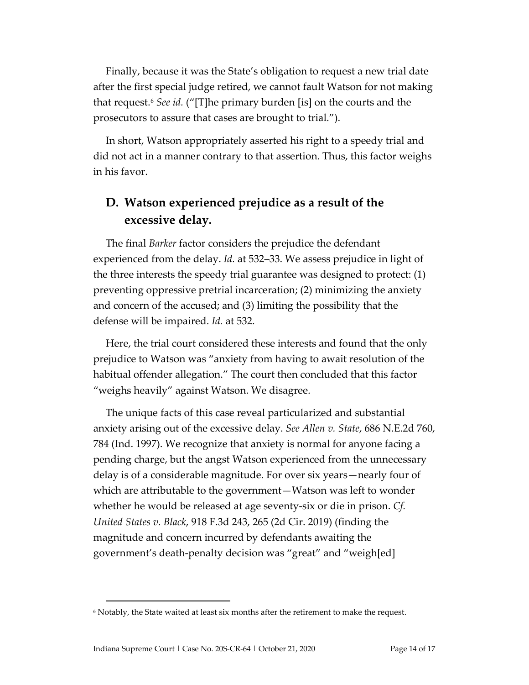Finally, because it was the State's obligation to request a new trial date after the first special judge retired, we cannot fault Watson for not making that request. [6](#page-13-0) *See id.* ("[T]he primary burden [is] on the courts and the prosecutors to assure that cases are brought to trial.").

In short, Watson appropriately asserted his right to a speedy trial and did not act in a manner contrary to that assertion. Thus, this factor weighs in his favor.

### **D. Watson experienced prejudice as a result of the excessive delay.**

The final *Barker* factor considers the prejudice the defendant experienced from the delay. *Id.* at 532–33. We assess prejudice in light of the three interests the speedy trial guarantee was designed to protect: (1) preventing oppressive pretrial incarceration; (2) minimizing the anxiety and concern of the accused; and (3) limiting the possibility that the defense will be impaired. *Id.* at 532.

Here, the trial court considered these interests and found that the only prejudice to Watson was "anxiety from having to await resolution of the habitual offender allegation." The court then concluded that this factor "weighs heavily" against Watson. We disagree.

The unique facts of this case reveal particularized and substantial anxiety arising out of the excessive delay. *See Allen v. State*, 686 N.E.2d 760, 784 (Ind. 1997). We recognize that anxiety is normal for anyone facing a pending charge, but the angst Watson experienced from the unnecessary delay is of a considerable magnitude. For over six years—nearly four of which are attributable to the government—Watson was left to wonder whether he would be released at age seventy-six or die in prison. *Cf. United States v. Black*, 918 F.3d 243, 265 (2d Cir. 2019) (finding the magnitude and concern incurred by defendants awaiting the government's death-penalty decision was "great" and "weigh[ed]

<span id="page-13-0"></span><sup>6</sup> Notably, the State waited at least six months after the retirement to make the request.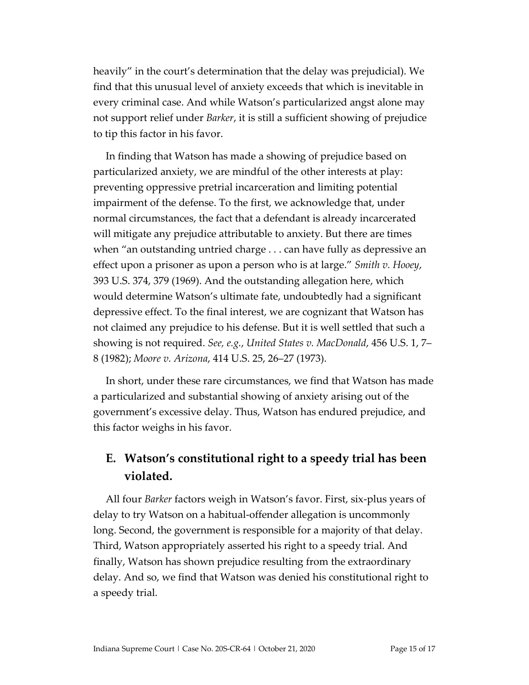heavily" in the court's determination that the delay was prejudicial). We find that this unusual level of anxiety exceeds that which is inevitable in every criminal case. And while Watson's particularized angst alone may not support relief under *Barker*, it is still a sufficient showing of prejudice to tip this factor in his favor.

In finding that Watson has made a showing of prejudice based on particularized anxiety, we are mindful of the other interests at play: preventing oppressive pretrial incarceration and limiting potential impairment of the defense. To the first, we acknowledge that, under normal circumstances, the fact that a defendant is already incarcerated will mitigate any prejudice attributable to anxiety. But there are times when "an outstanding untried charge . . . can have fully as depressive an effect upon a prisoner as upon a person who is at large." *Smith v. Hooey*, 393 U.S. 374, 379 (1969). And the outstanding allegation here, which would determine Watson's ultimate fate, undoubtedly had a significant depressive effect. To the final interest, we are cognizant that Watson has not claimed any prejudice to his defense. But it is well settled that such a showing is not required. *See, e.g.*, *United States v. MacDonald*, 456 U.S. 1, 7– 8 (1982); *Moore v. Arizona*, 414 U.S. 25, 26–27 (1973).

In short, under these rare circumstances, we find that Watson has made a particularized and substantial showing of anxiety arising out of the government's excessive delay. Thus, Watson has endured prejudice, and this factor weighs in his favor.

### **E. Watson's constitutional right to a speedy trial has been violated.**

All four *Barker* factors weigh in Watson's favor. First, six-plus years of delay to try Watson on a habitual-offender allegation is uncommonly long. Second, the government is responsible for a majority of that delay. Third, Watson appropriately asserted his right to a speedy trial. And finally, Watson has shown prejudice resulting from the extraordinary delay. And so, we find that Watson was denied his constitutional right to a speedy trial.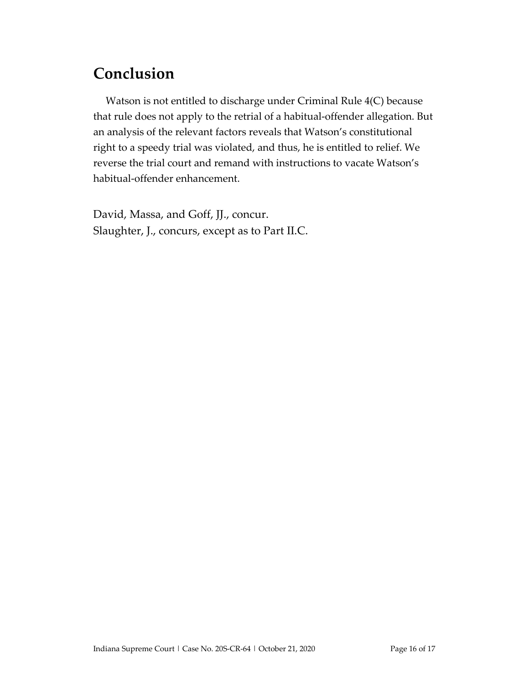## **Conclusion**

Watson is not entitled to discharge under Criminal Rule 4(C) because that rule does not apply to the retrial of a habitual-offender allegation. But an analysis of the relevant factors reveals that Watson's constitutional right to a speedy trial was violated, and thus, he is entitled to relief. We reverse the trial court and remand with instructions to vacate Watson's habitual-offender enhancement.

David, Massa, and Goff, JJ., concur. Slaughter, J., concurs, except as to Part II.C.